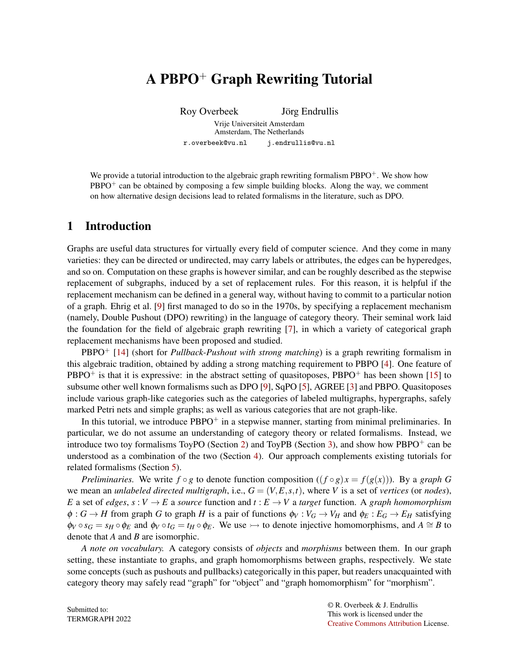# A PBPO<sup>+</sup> Graph Rewriting Tutorial

Roy Overbeek Jörg Endrullis

Vrije Universiteit Amsterdam Amsterdam, The Netherlands r.overbeek@vu.nl j.endrullis@vu.nl

We provide a tutorial introduction to the algebraic graph rewriting formalism PBPO<sup>+</sup>. We show how PBPO<sup>+</sup> can be obtained by composing a few simple building blocks. Along the way, we comment on how alternative design decisions lead to related formalisms in the literature, such as DPO.

# 1 Introduction

Graphs are useful data structures for virtually every field of computer science. And they come in many varieties: they can be directed or undirected, may carry labels or attributes, the edges can be hyperedges, and so on. Computation on these graphs is however similar, and can be roughly described as the stepwise replacement of subgraphs, induced by a set of replacement rules. For this reason, it is helpful if the replacement mechanism can be defined in a general way, without having to commit to a particular notion of a graph. Ehrig et al. [\[9\]](#page-8-0) first managed to do so in the 1970s, by specifying a replacement mechanism (namely, Double Pushout (DPO) rewriting) in the language of category theory. Their seminal work laid the foundation for the field of algebraic graph rewriting [\[7\]](#page-8-1), in which a variety of categorical graph replacement mechanisms have been proposed and studied.

PBPO<sup>+</sup> [\[14\]](#page-8-2) (short for *Pullback-Pushout with strong matching*) is a graph rewriting formalism in this algebraic tradition, obtained by adding a strong matching requirement to PBPO [\[4\]](#page-8-3). One feature of  $PBPO<sup>+</sup>$  is that it is expressive: in the abstract setting of quasitoposes,  $PBPO<sup>+</sup>$  has been shown [\[15\]](#page-8-4) to subsume other well known formalisms such as DPO [\[9\]](#page-8-0), SqPO [\[5\]](#page-8-5), AGREE [\[3\]](#page-8-6) and PBPO. Quasitoposes include various graph-like categories such as the categories of labeled multigraphs, hypergraphs, safely marked Petri nets and simple graphs; as well as various categories that are not graph-like.

In this tutorial, we introduce  $PBPO<sup>+</sup>$  in a stepwise manner, starting from minimal preliminaries. In particular, we do not assume an understanding of category theory or related formalisms. Instead, we introduce two toy formalisms ToyPO (Section [2\)](#page-1-0) and ToyPB (Section [3\)](#page-2-0), and show how PBPO<sup>+</sup> can be understood as a combination of the two (Section [4\)](#page-5-0). Our approach complements existing tutorials for related formalisms (Section [5\)](#page-7-0).

*Preliminaries.* We write  $f \circ g$  to denote function composition  $((f \circ g)x = f(g(x)))$ . By a *graph G* we mean an *unlabeled directed multigraph*, i.e.,  $G = (V, E, s, t)$ , where *V* is a set of *vertices* (or *nodes*), *E* a set of *edges*,  $s: V \to E$  a *source* function and  $t: E \to V$  a *target* function. A *graph homomorphism*  $\phi: G \to H$  from graph *G* to graph *H* is a pair of functions  $\phi_V: V_G \to V_H$  and  $\phi_E: E_G \to E_H$  satisfying  $\phi_V \circ s_G = s_H \circ \phi_E$  and  $\phi_V \circ t_G = t_H \circ \phi_E$ . We use  $\rightarrow$  to denote injective homomorphisms, and  $A \cong B$  to denote that *A* and *B* are isomorphic.

*A note on vocabulary.* A category consists of *objects* and *morphisms* between them. In our graph setting, these instantiate to graphs, and graph homomorphisms between graphs, respectively. We state some concepts (such as pushouts and pullbacks) categorically in this paper, but readers unacquainted with category theory may safely read "graph" for "object" and "graph homomorphism" for "morphism".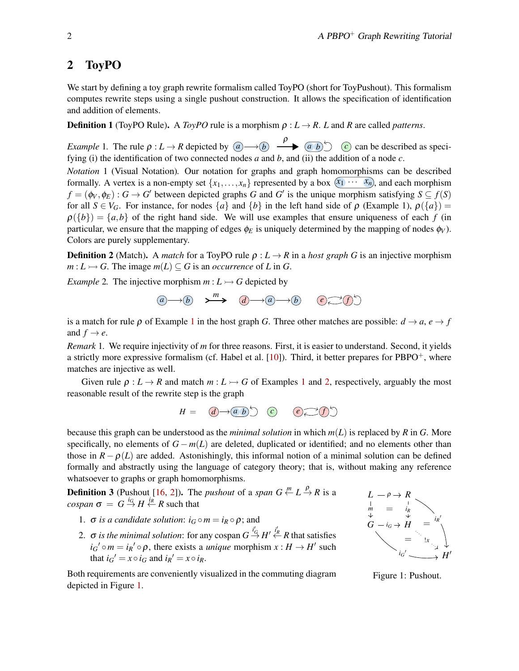## <span id="page-1-0"></span>2 ToyPO

We start by defining a toy graph rewrite formalism called ToyPO (short for ToyPushout). This formalism computes rewrite steps using a single pushout construction. It allows the specification of identification and addition of elements.

**Definition 1** (ToyPO Rule). A *ToyPO* rule is a morphism  $\rho : L \to R$ . *L* and *R* are called *patterns*.

<span id="page-1-1"></span>*Example* 1. The rule  $\rho: L \to R$  depicted by  $\overline{(a)} \to \overline{(b)}$   $\overline{(a \ b)}$   $\overline{(c)}$  can be described as specifying (i) the identification of two connected nodes *a* and *b*, and (ii) the addition of a node *c*.

<span id="page-1-5"></span>*Notation* 1 (Visual Notation)*.* Our notation for graphs and graph homomorphisms can be described formally. A vertex is a non-empty set  $\{x_1, \ldots, x_n\}$  represented by a box  $\overline{(x_1 \cdots x_n)}$ , and each morphism  $f = (\phi_V, \phi_E) : G \to G'$  between depicted graphs *G* and *G'* is the unique morphism satisfying  $S \subseteq f(S)$ for all  $S \in V_G$ . For instance, for nodes  $\{a\}$  and  $\{b\}$  in the left hand side of  $\rho$  (Example 1),  $\rho(\{a\}) =$  $\rho({b}) = {a,b}$  of the right hand side. We will use examples that ensure uniqueness of each *f* (in particular, we ensure that the mapping of edges  $\phi_E$  is uniquely determined by the mapping of nodes  $\phi_V$ ). Colors are purely supplementary.

**Definition 2** (Match). A *match* for a ToyPO rule  $\rho$  :  $L \rightarrow R$  in a *host graph G* is an injective morphism  $m: L \rightarrow G$ . The image  $m(L) \subset G$  is an *occurrence* of *L* in *G*.

<span id="page-1-2"></span>*Example* 2. The injective morphism  $m: L \rightarrowtail G$  depicted by

$$
\textcircled{a}\longrightarrow\textcircled{b}\quad\textup{and}\quad\textcircled{a}\longrightarrow\textcircled{a}\longrightarrow\textcircled{b}\quad\textcircled{e}\textcircled{f}\textcircled{f}
$$

is a match for rule  $\rho$  of Example [1](#page-1-1) in the host graph *G*. Three other matches are possible:  $d \rightarrow a$ ,  $e \rightarrow f$ and  $f \rightarrow e$ .

*Remark* 1*.* We require injectivity of *m* for three reasons. First, it is easier to understand. Second, it yields a strictly more expressive formalism (cf. Habel et al.  $[10]$ ). Third, it better prepares for PBPO<sup>+</sup>, where matches are injective as well.

Given rule  $\rho: L \to R$  and match  $m: L \to G$  of Examples [1](#page-1-1) and [2,](#page-1-2) respectively, arguably the most reasonable result of the rewrite step is the graph

$$
H = \quad \textcircled{d} \rightarrow \textcircled{a} \quad \textcircled{b} \quad \textcircled{c} \quad \textcircled{e} \rightarrow \textcircled{f} \rightarrow
$$

because this graph can be understood as the *minimal solution* in which *m*(*L*) is replaced by *R* in *G*. More specifically, no elements of  $G - m(L)$  are deleted, duplicated or identified; and no elements other than those in  $R - \rho(L)$  are added. Astonishingly, this informal notion of a minimal solution can be defined formally and abstractly using the language of category theory; that is, without making any reference whatsoever to graphs or graph homomorphisms.

<span id="page-1-4"></span>**Definition 3** (Pushout [\[16,](#page-8-8) [2\]](#page-8-9)). The *pushout* of a *span*  $G \stackrel{m}{\leftarrow} L \stackrel{\rho}{\rightarrow} R$  is a  $cospan \sigma = G \stackrel{i_G}{\rightarrow} H \stackrel{i_R}{\leftarrow} R$  such that

- 1.  $\sigma$  *is a candidate solution:*  $i_G \circ m = i_R \circ \rho$ ; and
- 2.  $\sigma$  *is the minimal solution*: for any cospan  $G \xrightarrow{i_G} H' \xleftarrow{i_R} R$  that satisfies  $i_G' \circ m = i_R' \circ \rho$ , there exists a *unique* morphism  $x : H \to H'$  such that  $i_G' = x \circ i_G$  and  $i_R' = x \circ i_R$ .

 $L - \rho \rightarrow R$  $G - i_G \rightarrow H$ *H* ′ ρ  $\dot{m}$   $=$   $i_R$  $i_G \rightarrow \overleftrightarrow{H} = i_R'$ = *iG* ′  $=$   $\cdot \cdot \cdot$ 

Both requirements are conveniently visualized in the commuting diagram depicted in Figure [1.](#page-1-3)

<span id="page-1-3"></span>Figure 1: Pushout.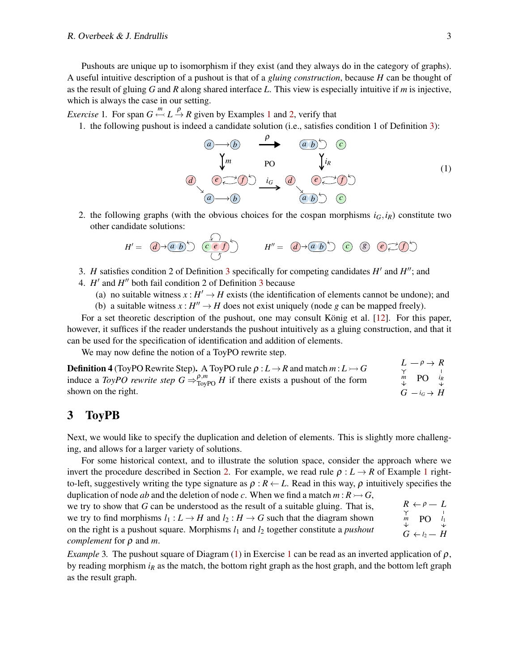#### R. Overbeek  $\&$  J. Endrullis 3

Pushouts are unique up to isomorphism if they exist (and they always do in the category of graphs). A useful intuitive description of a pushout is that of a *gluing construction*, because *H* can be thought of as the result of gluing *G* and *R* along shared interface *L*. This view is especially intuitive if *m* is injective, which is always the case in our setting.

<span id="page-2-2"></span>*Exercise* [1](#page-1-1). For span  $G \stackrel{m}{\leftarrow} L \stackrel{\rho}{\rightarrow} R$  given by Examples 1 and [2,](#page-1-2) verify that

1. the following pushout is indeed a candidate solution (i.e., satisfies condition 1 of Definition [3\)](#page-1-4):

<span id="page-2-1"></span>*a b* ρ *a b c m a b d e f iR iG* PO *a b c d e f* (1)

2. the following graphs (with the obvious choices for the cospan morphisms  $i_G$ , $i_R$ ) constitute two other candidate solutions:

$$
H' = \left(\overline{d}\right) \rightarrow \left(\overline{a}\right) \stackrel{\left(\frac{1}{2}\right)}{\left(\frac{1}{2}\right)} \qquad H'' = \left(\overline{d}\right) \rightarrow \left(\overline{a}\right) \stackrel{\left(\frac{1}{2}\right)}{\left(\frac{1}{2}\right)} \qquad \qquad \left(\frac{1}{2}\right) \qquad \qquad H'' = \left(\overline{d}\right) \rightarrow \left(\overline{a}\right) \stackrel{\left(\frac{1}{2}\right)}{\left(\frac{1}{2}\right)} \qquad \qquad H''' = \left(\overline{d}\right) \rightarrow \left(\overline{a}\right) \stackrel{\left(\frac{1}{2}\right)}{\left(\frac{1}{2}\right)} \qquad \qquad H''' = \left(\overline{d}\right) \rightarrow \left(\overline{a}\right) \stackrel{\left(\frac{1}{2}\right)}{\left(\frac{1}{2}\right)} \qquad \qquad H''' = \left(\overline{d}\right) \rightarrow \left(\overline{a}\right) \stackrel{\left(\frac{1}{2}\right)}{\left(\frac{1}{2}\right)} \qquad \qquad H''' = \left(\overline{d}\right) \rightarrow \left(\overline{a}\right) \stackrel{\left(\frac{1}{2}\right)}{\left(\frac{1}{2}\right)} \qquad \qquad H''' = \left(\overline{d}\right) \rightarrow \left(\overline{a}\right) \stackrel{\left(\frac{1}{2}\right)}{\left(\frac{1}{2}\right)} \qquad \qquad H''' = \left(\overline{d}\right) \rightarrow \left(\overline{a}\right) \stackrel{\left(\frac{1}{2}\right)}{\left(\frac{1}{2}\right)} \qquad \qquad H''' = \left(\overline{d}\right) \rightarrow \left(\overline{a}\right) \stackrel{\left(\frac{1}{2}\right)}{\left(\frac{1}{2}\right)} \qquad \qquad H''' = \left(\overline{d}\right) \rightarrow \left(\overline{a}\right) \stackrel{\left(\frac{1}{2}\right)}{\left(\frac{1}{2}\right)} \qquad \qquad H''' = \left(\overline{d}\right) \rightarrow \left(\overline{a}\right) \stackrel{\left(\frac{1}{2}\right)}{\left(\frac{1}{2}\right)} \qquad \qquad H''' = \left(\overline{d}\right) \rightarrow \left(\overline{a}\right) \stackrel{\left(\frac{1}{2}\right)}{\left(\frac{1}{2}\right)} \qquad \qquad H''' = \left(\overline{d}\right) \rightarrow \left
$$

- [3](#page-1-4). *H* satisfies condition 2 of Definition 3 specifically for competing candidates *H'* and *H''*; and
- 4. *H'* and *H''* both fail condition 2 of Definition [3](#page-1-4) because
	- (a) no suitable witness  $x : H' \to H$  exists (the identification of elements cannot be undone); and
	- (b) a suitable witness  $x : H'' \to H$  does not exist uniquely (node *g* can be mapped freely).

For a set theoretic description of the pushout, one may consult König et al. [[12\]](#page-8-10). For this paper, however, it suffices if the reader understands the pushout intuitively as a gluing construction, and that it can be used for the specification of identification and addition of elements.

We may now define the notion of a ToyPO rewrite step.

 $L \rightarrow \rho \rightarrow R$  $G - i_G \rightarrow H$ ρ  $m$  **PO**  $i_R$ *iG* PO **Definition 4** (ToyPO Rewrite Step). A ToyPO rule  $\rho : L \to R$  and match  $m : L \to G$ induce a *ToyPO rewrite step*  $G \Rightarrow_{\text{Top}^P}^{\rho,m} H$  if there exists a pushout of the form shown on the right.

## <span id="page-2-0"></span>3 ToyPB

Next, we would like to specify the duplication and deletion of elements. This is slightly more challenging, and allows for a larger variety of solutions.

For some historical context, and to illustrate the solution space, consider the approach where we invert the procedure described in Section [2.](#page-1-0) For example, we read rule  $\rho : L \to R$  of Example [1](#page-1-1) rightto-left, suggestively writing the type signature as  $\rho : R \leftarrow L$ . Read in this way,  $\rho$  intuitively specifies the duplication of node *ab* and the deletion of node *c*. When we find a match  $m : R \rightarrow G$ ,

 $R \leftarrow \rho - L$  $G \leftarrow \ell_2 - H$ *m* ρ PO *l*<sup>1</sup>  $l_2$ we try to show that *G* can be understood as the result of a suitable gluing. That is, we try to find morphisms  $l_1 : L \to H$  and  $l_2 : H \to G$  such that the diagram shown on the right is a pushout square. Morphisms *l*<sup>1</sup> and *l*<sup>2</sup> together constitute a *pushout complement* for ρ and *m*.

*Example* 3. The pushout square of Diagram [\(1\)](#page-2-1) in Exercise [1](#page-2-2) can be read as an inverted application of  $\rho$ , by reading morphism  $i<sub>R</sub>$  as the match, the bottom right graph as the host graph, and the bottom left graph as the result graph.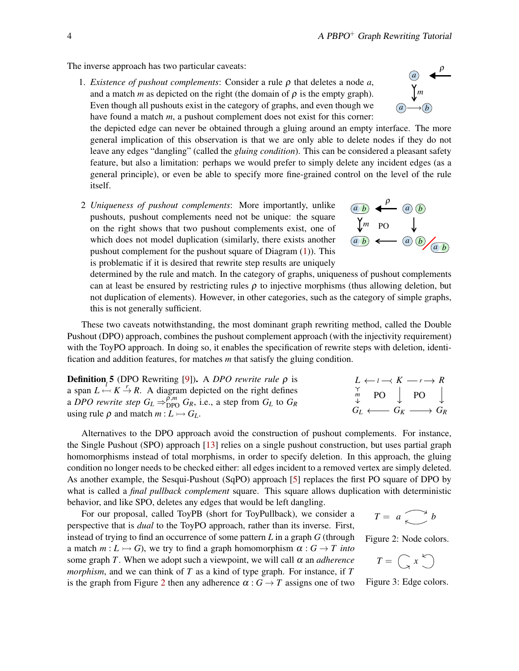The inverse approach has two particular caveats:

1. *Existence of pushout complements*: Consider a rule ρ that deletes a node *a*, and a match *m* as depicted on the right (the domain of  $\rho$  is the empty graph). Even though all pushouts exist in the category of graphs, and even though we have found a match *m*, a pushout complement does not exist for this corner:

the depicted edge can never be obtained through a gluing around an empty interface. The more general implication of this observation is that we are only able to delete nodes if they do not leave any edges "dangling" (called the *gluing condition*). This can be considered a pleasant safety feature, but also a limitation: perhaps we would prefer to simply delete any incident edges (as a general principle), or even be able to specify more fine-grained control on the level of the rule itself.

2 *Uniqueness of pushout complements*: More importantly, unlike pushouts, pushout complements need not be unique: the square on the right shows that two pushout complements exist, one of which does not model duplication (similarly, there exists another pushout complement for the pushout square of Diagram [\(1\)](#page-2-1)). This is problematic if it is desired that rewrite step results are uniquely

determined by the rule and match. In the category of graphs, uniqueness of pushout complements can at least be ensured by restricting rules  $\rho$  to injective morphisms (thus allowing deletion, but not duplication of elements). However, in other categories, such as the category of simple graphs, this is not generally sufficient.

These two caveats notwithstanding, the most dominant graph rewriting method, called the Double Pushout (DPO) approach, combines the pushout complement approach (with the injectivity requirement) with the ToyPO approach. In doing so, it enables the specification of rewrite steps with deletion, identification and addition features, for matches *m* that satisfy the gluing condition.

Definition 5 (DPO Rewriting [\[9\]](#page-8-0)). A *DPO rewrite rule* ρ is a span  $L \leftarrow K \rightarrow R$ . A diagram depicted on the right defines a *DPO rewrite step*  $G_L \Rightarrow_{DPO}^{\tilde{\rho}, m} G_R$ , i.e., a step from  $G_L$  to  $G_R$ using rule  $\rho$  and match  $m: L \rightarrowtail G_L$ .

Alternatives to the DPO approach avoid the construction of pushout complements. For instance, the Single Pushout (SPO) approach [\[13\]](#page-8-11) relies on a single pushout construction, but uses partial graph homomorphisms instead of total morphisms, in order to specify deletion. In this approach, the gluing condition no longer needs to be checked either: all edges incident to a removed vertex are simply deleted. As another example, the Sesqui-Pushout (SqPO) approach [\[5\]](#page-8-5) replaces the first PO square of DPO by what is called a *final pullback complement* square. This square allows duplication with deterministic behavior, and like SPO, deletes any edges that would be left dangling.

For our proposal, called ToyPB (short for ToyPullback), we consider a perspective that is *dual* to the ToyPO approach, rather than its inverse. First, instead of trying to find an occurrence of some pattern *L* in a graph *G* (through a match  $m: L \rightarrow G$ , we try to find a graph homomorphism  $\alpha: G \rightarrow T$  *into* some graph *T*. When we adopt such a viewpoint, we will call  $\alpha$  an *adherence morphism*, and we can think of *T* as a kind of type graph. For instance, if *T* is the graph from Figure [2](#page-3-0) then any adherence  $\alpha$  :  $G \rightarrow T$  assigns one of two

Figure 3: Edge colors.

 $T = \left(\begin{array}{c} x \\ y \end{array}\right)$ 

<span id="page-3-0"></span> $T = a \rightarrow b$ 

Figure 2: Node colors.

 $L \leftarrow \iota \rightarrow K \rightarrow r \rightarrow R$  $G_L \longleftrightarrow G_K \longrightarrow G_R$ *m*  $l \rightarrow K - r$ PO PO



$$
\begin{array}{c}\n\textcircled{a} \\
\downarrow_m \\
\downarrow_m \\
\hline\n\textcircled{a}\longrightarrow\textcircled{b}\n\end{array}
$$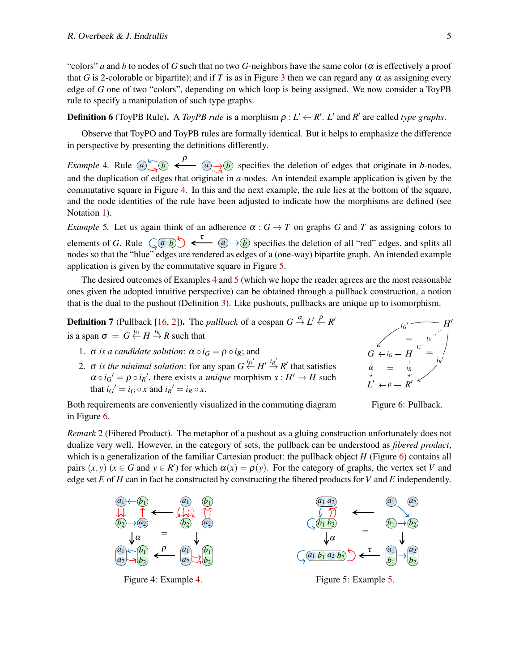"colors" *a* and *b* to nodes of *G* such that no two *G*-neighbors have the same color ( $\alpha$  is effectively a proof that *G* is 2-colorable or bipartite); and if *T* is as in Figure [3](#page-3-0) then we can regard any  $\alpha$  as assigning every edge of *G* one of two "colors", depending on which loop is being assigned. We now consider a ToyPB rule to specify a manipulation of such type graphs.

**Definition 6** (ToyPB Rule). A *ToyPB rule* is a morphism  $\rho : L' \leftarrow R'. L'$  and  $R'$  are called *type graphs*.

Observe that ToyPO and ToyPB rules are formally identical. But it helps to emphasize the difference in perspective by presenting the definitions differently.

<span id="page-4-1"></span>*Example* 4. Rule  $\overline{a}$   $\rightarrow$   $\overline{b}$   $\leftarrow$   $\overline{a}$   $\rightarrow$   $\overline{b}$  specifies the deletion of edges that originate in *b*-nodes, and the duplication of edges that originate in *a*-nodes. An intended example application is given by the commutative square in Figure [4.](#page-4-0) In this and the next example, the rule lies at the bottom of the square, and the node identities of the rule have been adjusted to indicate how the morphisms are defined (see Notation [1\)](#page-1-5).

<span id="page-4-2"></span>*Example* 5. Let us again think of an adherence  $\alpha$  :  $G \rightarrow T$  on graphs *G* and *T* as assigning colors to elements of *G*. Rule  $\left(\begin{array}{cc} a & b \end{array}\right)$   $\leftarrow$   $\left(\begin{array}{cc} a & b \end{array}\right)$  specifies the deletion of all "red" edges, and splits all nodes so that the "blue" edges are rendered as edges of a (one-way) bipartite graph. An intended example application is given by the commutative square in Figure [5.](#page-4-0)

The desired outcomes of Examples [4](#page-4-1) and [5](#page-4-2) (which we hope the reader agrees are the most reasonable ones given the adopted intuitive perspective) can be obtained through a pullback construction, a notion that is the dual to the pushout (Definition [3\)](#page-1-4). Like pushouts, pullbacks are unique up to isomorphism.

**Definition 7** (Pullback [\[16,](#page-8-8) [2\]](#page-8-9)). The *pullback* of a cospan  $G \stackrel{\alpha}{\rightarrow} L' \stackrel{\rho}{\leftarrow} R'$ is a span  $\sigma = G \stackrel{i_G}{\leftarrow} H \stackrel{i_R}{\rightarrow} R$  such that

- 1.  $\sigma$  *is a candidate solution*:  $\alpha \circ i_G = \rho \circ i_R$ ; and
- 2.  $\sigma$  *is the minimal solution*: for any span  $G \stackrel{iG'}{\leftarrow} H' \stackrel{iR'}{\rightarrow} R'$  that satisfies  $\alpha \circ i_G' = \rho \circ i_R'$ , there exists a *unique* morphism  $x : H' \to H$  such that  $i_G' = i_G \circ x$  and  $i_R' = i_R \circ x$ .



<span id="page-4-3"></span>Figure 6: Pullback.

Both requirements are conveniently visualized in the commuting diagram in Figure [6.](#page-4-3)

*Remark* 2 (Fibered Product)*.* The metaphor of a pushout as a gluing construction unfortunately does not dualize very well. However, in the category of sets, the pullback can be understood as *fibered product*, which is a generalization of the familiar Cartesian product: the pullback object *H* (Figure [6\)](#page-4-3) contains all pairs  $(x, y)$  ( $x \in G$  and  $y \in R'$ ) for which  $\alpha(x) = \rho(y)$ . For the category of graphs, the vertex set *V* and edge set  $E$  of  $H$  can in fact be constructed by constructing the fibered products for  $V$  and  $E$  independently.

<span id="page-4-0"></span>

Figure 4: Example [4.](#page-4-1)



Figure 5: Example [5.](#page-4-2)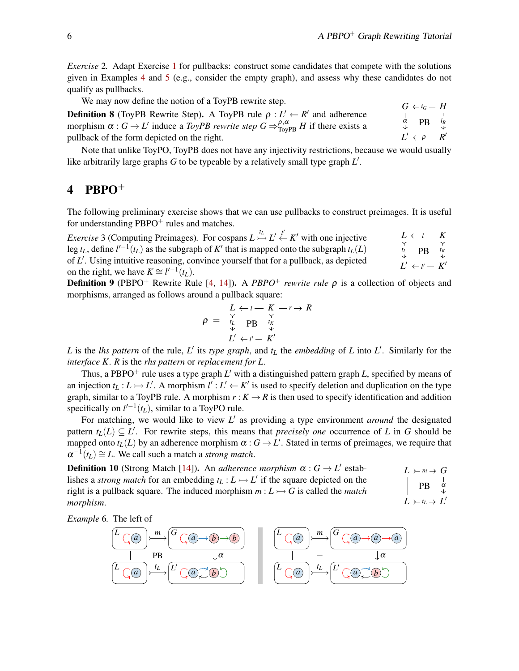*Exercise* 2. Adapt Exercise [1](#page-2-2) for pullbacks: construct some candidates that compete with the solutions given in Examples [4](#page-4-1) and [5](#page-4-2) (e.g., consider the empty graph), and assess why these candidates do not qualify as pullbacks.

We may now define the notion of a ToyPB rewrite step.

*L*  $\prime \leftarrow \rho - R$ ′  $\alpha$  **PB**  $i_R$ *iG* PB ρ **Definition 8** (ToyPB Rewrite Step). A ToyPB rule  $\rho: L' \leftarrow R'$  and adherence morphism  $\alpha$  :  $G \to L'$  induce a *ToyPB rewrite step*  $G \Rightarrow_{\text{TopPB}}^{\rho,\alpha} H$  if there exists a pullback of the form depicted on the right.

Note that unlike ToyPO, ToyPB does not have any injectivity restrictions, because we would usually like arbitrarily large graphs *G* to be typeable by a relatively small type graph *L* ′ .

# <span id="page-5-0"></span>4 PBPO $^+$

The following preliminary exercise shows that we can use pullbacks to construct preimages. It is useful for understanding  $PBPO<sup>+</sup>$  rules and matches.

 $L \leftarrow \iota - K$  $L' \leftarrow l' - K'$  $t_L$  *p***B**  $t_K$ *l* PB *l* ′ *Exercise* 3 (Computing Preimages). For cospans  $L \stackrel{t_L}{\rightarrowtail} L' \stackrel{l'}{\leftarrow} K'$  with one injective leg  $t_L$ , define  $l'^{-1}(t_L)$  as the subgraph of  $K'$  that is mapped onto the subgraph  $t_L(L)$ of *L* ′ . Using intuitive reasoning, convince yourself that for a pullback, as depicted on the right, we have  $K \cong l'^{-1}(t_L)$ .

<span id="page-5-1"></span>**Definition 9** (PBPO<sup>+</sup> Rewrite Rule [\[4,](#page-8-3) [14\]](#page-8-2)). A *PBPO<sup>+</sup> rewrite rule*  $\rho$  is a collection of objects and morphisms, arranged as follows around a pullback square:

$$
\rho = \begin{array}{c}\nL \leftarrow l - K \rightarrow R \\
\uparrow \quad \searrow \\
\downarrow \quad \text{PB} \quad \downarrow \quad \\
L' \leftarrow l' - K'\n\end{array}
$$

*L* is the *lhs pattern* of the rule, *L'* its *type graph*, and  $t<sub>L</sub>$  the *embedding* of *L* into *L'*. Similarly for the *interface K*. *R* is the *rhs pattern* or *replacement for L*.

Thus, a PBPO<sup>+</sup> rule uses a type graph *L'* with a distinguished pattern graph *L*, specified by means of an injection  $t_L: L \rightarrow L'$ . A morphism  $l' : L' \leftarrow K'$  is used to specify deletion and duplication on the type graph, similar to a ToyPB rule. A morphism  $r : K \to R$  is then used to specify identification and addition specifically on  $l'^{-1}(t_L)$ , similar to a ToyPO rule.

For matching, we would like to view *L* ′ as providing a type environment *around* the designated pattern  $t_L(L) \subseteq L'$ . For rewrite steps, this means that *precisely one* occurrence of *L* in *G* should be mapped onto  $t_L(L)$  by an adherence morphism  $\alpha: G \to L'$ . Stated in terms of preimages, we require that  $\alpha^{-1}(t_L) \cong L$ . We call such a match a *strong match*.

**Definition 10** (Strong Match [\[14\]](#page-8-2)). An *adherence morphism*  $\alpha$ :  $G \rightarrow L'$  establishes a *strong match* for an embedding  $t_L : L \rightarrow L'$  if the square depicted on the right is a pullback square. The induced morphism  $m: L \rightarrow G$  is called the *match morphism*.

 $L \succ m \rightarrow G$  $L \succ t_L \rightarrow L$ ′ *m*  $PB$ *tL*

*Example* 6*.* The left of

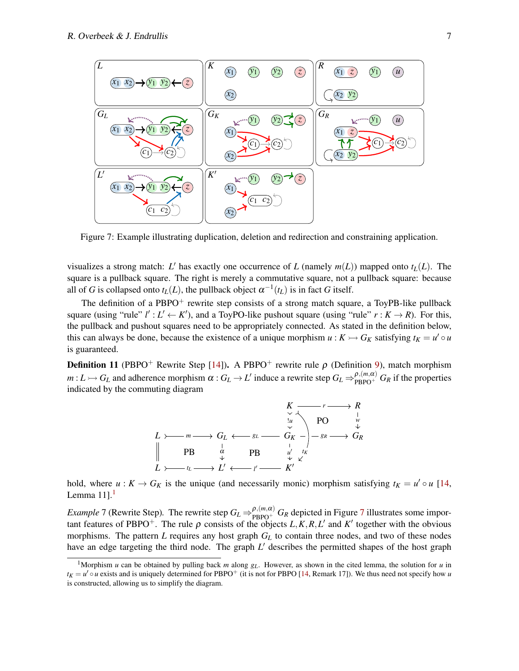<span id="page-6-1"></span>

Figure 7: Example illustrating duplication, deletion and redirection and constraining application.

visualizes a strong match: *L'* has exactly one occurrence of *L* (namely  $m(L)$ ) mapped onto  $t_L(L)$ . The square is a pullback square. The right is merely a commutative square, not a pullback square: because all of *G* is collapsed onto  $t_L(L)$ , the pullback object  $\alpha^{-1}(t_L)$  is in fact *G* itself.

The definition of a PBPO<sup>+</sup> rewrite step consists of a strong match square, a ToyPB-like pullback square (using "rule"  $l' : L' \leftarrow K'$ ), and a ToyPO-like pushout square (using "rule"  $r : K \rightarrow R$ ). For this, the pullback and pushout squares need to be appropriately connected. As stated in the definition below, this can always be done, because the existence of a unique morphism  $u : K \rightarrow G_K$  satisfying  $t_K = u' \circ u$ is guaranteed.

**Definition 11** (PBPO<sup>+</sup> Rewrite Step [\[14\]](#page-8-2)). A PBPO<sup>+</sup> rewrite rule  $\rho$  (Definition [9\)](#page-5-1), match morphism  $m: L \rightarrowtail G_L$  and adherence morphism  $\alpha: G_L \rightarrow L'$  induce a rewrite step  $G_L \Rightarrow_{PBPO^+}^{\rho,(m,\alpha)} G_R$  if the properties indicated by the commuting diagram



hold, where  $u : K \to G_K$  is the unique (and necessarily monic) morphism satisfying  $t_K = u' \circ u$  [\[14,](#page-8-2) Lemma  $11$  $11$ ].<sup>1</sup>

*Example* [7](#page-6-1) (Rewrite Step). The rewrite step  $G_L \Rightarrow_{PBPO^+}^{\rho,(m,\alpha)} G_R$  depicted in Figure 7 illustrates some important features of PBPO<sup>+</sup>. The rule  $\rho$  consists of the objects  $L, K, R, L'$  and  $K'$  together with the obvious morphisms. The pattern *L* requires any host graph  $G_L$  to contain three nodes, and two of these nodes have an edge targeting the third node. The graph L' describes the permitted shapes of the host graph

<span id="page-6-0"></span><sup>&</sup>lt;sup>1</sup>Morphism *u* can be obtained by pulling back *m* along  $g_L$ . However, as shown in the cited lemma, the solution for *u* in  $t_K = u' \circ u$  exists and is uniquely determined for PBPO<sup>+</sup> (it is not for PBPO [\[14,](#page-8-2) Remark 17]). We thus need not specify how *u* is constructed, allowing us to simplify the diagram.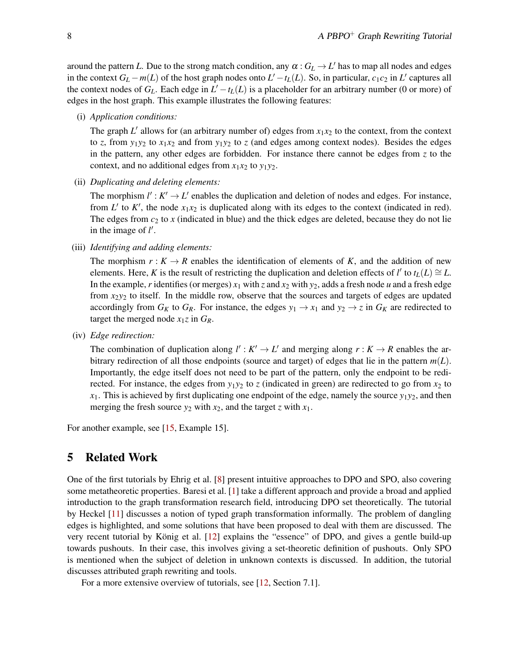around the pattern *L*. Due to the strong match condition, any  $\alpha$  :  $G_L \rightarrow L'$  has to map all nodes and edges in the context  $G_L - m(L)$  of the host graph nodes onto  $L' - t_L(L)$ . So, in particular,  $c_1 c_2$  in  $L'$  captures all the context nodes of  $G_L$ . Each edge in  $L' - t_L(L)$  is a placeholder for an arbitrary number (0 or more) of edges in the host graph. This example illustrates the following features:

(i) *Application conditions:*

The graph  $L'$  allows for (an arbitrary number of) edges from  $x_1x_2$  to the context, from the context to *z*, from  $y_1y_2$  to  $x_1x_2$  and from  $y_1y_2$  to *z* (and edges among context nodes). Besides the edges in the pattern, any other edges are forbidden. For instance there cannot be edges from *z* to the context, and no additional edges from  $x_1x_2$  to  $y_1y_2$ .

(ii) *Duplicating and deleting elements:*

The morphism  $l' : K' \to L'$  enables the duplication and deletion of nodes and edges. For instance, from  $L'$  to  $K'$ , the node  $x_1x_2$  is duplicated along with its edges to the context (indicated in red). The edges from  $c_2$  to x (indicated in blue) and the thick edges are deleted, because they do not lie in the image of  $l'$ .

(iii) *Identifying and adding elements:*

The morphism  $r : K \to R$  enables the identification of elements of K, and the addition of new elements. Here, *K* is the result of restricting the duplication and deletion effects of *l'* to  $t_L(L) \cong L$ . In the example, *r* identifies (or merges)  $x_1$  with  $z$  and  $x_2$  with  $y_2$ , adds a fresh node *u* and a fresh edge from *x*2*y*<sup>2</sup> to itself. In the middle row, observe that the sources and targets of edges are updated accordingly from  $G_K$  to  $G_R$ . For instance, the edges  $y_1 \rightarrow x_1$  and  $y_2 \rightarrow z$  in  $G_K$  are redirected to target the merged node  $x_1z$  in  $G_R$ .

(iv) *Edge redirection:*

The combination of duplication along  $l' : K' \to L'$  and merging along  $r : K \to R$  enables the arbitrary redirection of all those endpoints (source and target) of edges that lie in the pattern *m*(*L*). Importantly, the edge itself does not need to be part of the pattern, only the endpoint to be redirected. For instance, the edges from  $y_1y_2$  to *z* (indicated in green) are redirected to go from  $x_2$  to  $x_1$ . This is achieved by first duplicating one endpoint of the edge, namely the source  $y_1y_2$ , and then merging the fresh source  $y_2$  with  $x_2$ , and the target *z* with  $x_1$ .

For another example, see [\[15,](#page-8-4) Example 15].

## <span id="page-7-0"></span>5 Related Work

One of the first tutorials by Ehrig et al. [\[8\]](#page-8-12) present intuitive approaches to DPO and SPO, also covering some metatheoretic properties. Baresi et al. [\[1\]](#page-8-13) take a different approach and provide a broad and applied introduction to the graph transformation research field, introducing DPO set theoretically. The tutorial by Heckel [\[11\]](#page-8-14) discusses a notion of typed graph transformation informally. The problem of dangling edges is highlighted, and some solutions that have been proposed to deal with them are discussed. The very recent tutorial by König et al. [[12\]](#page-8-10) explains the "essence" of DPO, and gives a gentle build-up towards pushouts. In their case, this involves giving a set-theoretic definition of pushouts. Only SPO is mentioned when the subject of deletion in unknown contexts is discussed. In addition, the tutorial discusses attributed graph rewriting and tools.

For a more extensive overview of tutorials, see [\[12,](#page-8-10) Section 7.1].